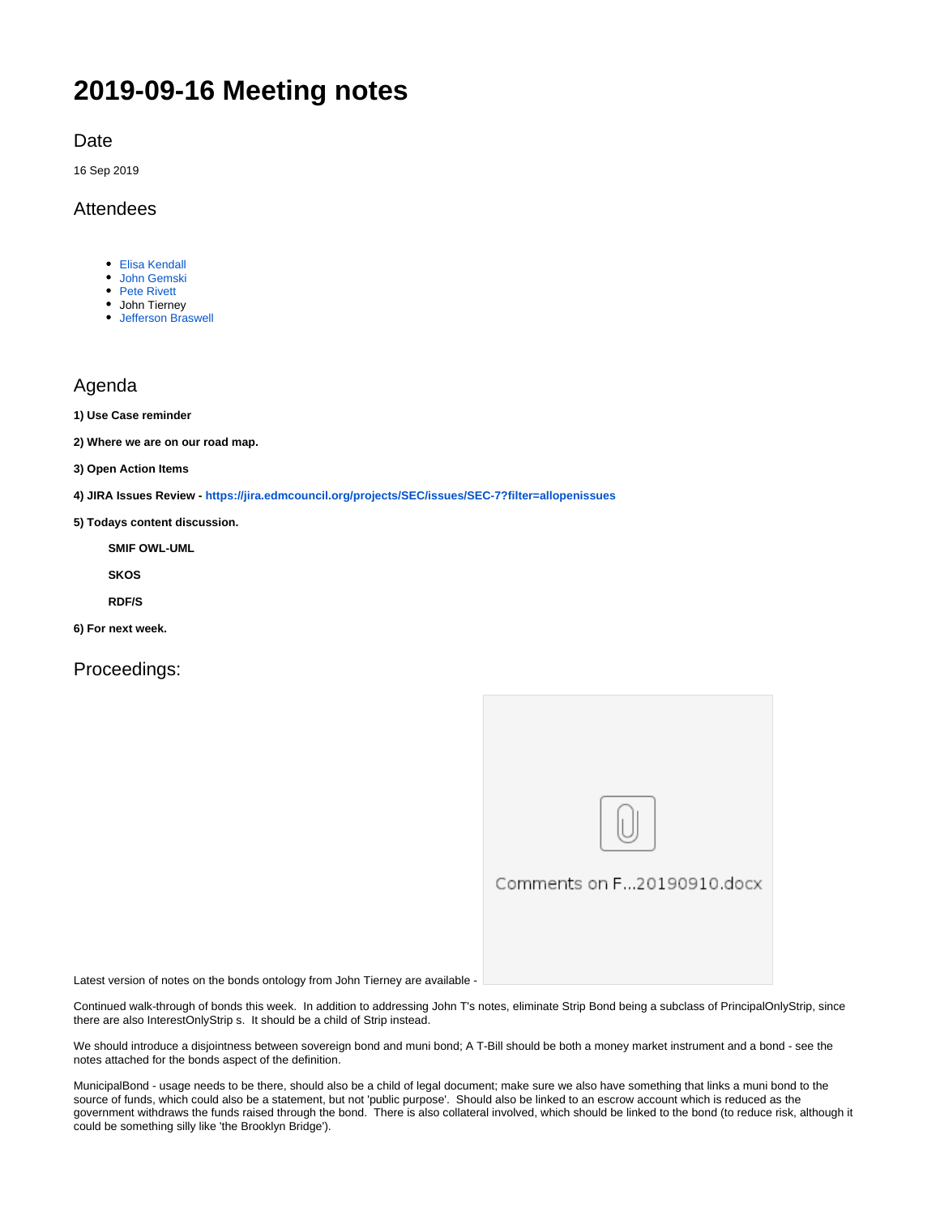# **2019-09-16 Meeting notes**

Date

16 Sep 2019

## **Attendees**

- [Elisa Kendall](https://wiki.edmcouncil.org/display/~ElisaKendall)
- [John Gemski](https://wiki.edmcouncil.org/display/~jgemski)
- [Pete Rivett](https://wiki.edmcouncil.org/display/~rivettp) John Tierney
- [Jefferson Braswell](https://wiki.edmcouncil.org/display/~ljb)

## Agenda

- **1) Use Case reminder**
- **2) Where we are on our road map.**
- **3) Open Action Items**

**4) JIRA Issues Review - <https://jira.edmcouncil.org/projects/SEC/issues/SEC-7?filter=allopenissues>**

**5) Todays content discussion.**

**SMIF OWL-UML**

**SKOS**

**RDF/S**

**6) For next week.**

Proceedings:



Comments on F...20190910.docx

Latest version of notes on the bonds ontology from John Tierney are available -

Continued walk-through of bonds this week. In addition to addressing John T's notes, eliminate Strip Bond being a subclass of PrincipalOnlyStrip, since there are also InterestOnlyStrip s. It should be a child of Strip instead.

We should introduce a disjointness between sovereign bond and muni bond; A T-Bill should be both a money market instrument and a bond - see the notes attached for the bonds aspect of the definition.

MunicipalBond - usage needs to be there, should also be a child of legal document; make sure we also have something that links a muni bond to the source of funds, which could also be a statement, but not 'public purpose'. Should also be linked to an escrow account which is reduced as the government withdraws the funds raised through the bond. There is also collateral involved, which should be linked to the bond (to reduce risk, although it could be something silly like 'the Brooklyn Bridge').